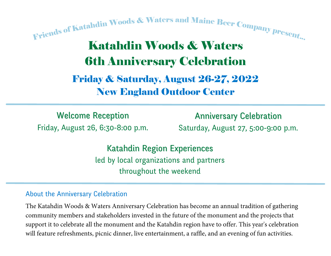Friends of Katahdin Woods & Waters and Maine Beer Company present... Katahdin Woods & Waters 6th Anniversary Celebration Friday & Saturday, August 26-27, 2022 New England Outdoor Center

Friday, August 26, 6:30-8:00 p.m. Welcome Reception

Saturday, August 27, 5:00-9:00 p.m. Anniversary Celebration

led by local organizations and partners throughout the weekend Katahdin Region Experiences

#### About the Anniversary Celebration

The Katahdin Woods & Waters Anniversary Celebration has become an annual tradition of gathering community members and stakeholders invested in the future of the monument and the projects that support it to celebrate all the monument and the Katahdin region have to offer. This year's celebration will feature refreshments, picnic dinner, live entertainment, a raffle, and an evening of fun activities.